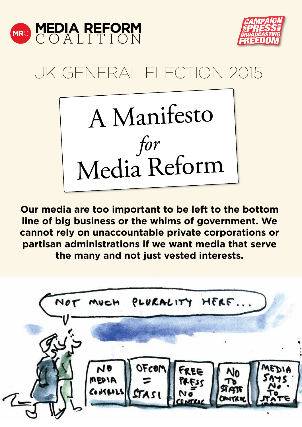



# UK GENERAL ELECTION 2015



**Our media are too important to be left to the bottom line of big business or the whims of government. We cannot rely on unaccountable private corporations or partisan administrations if we want media that serve the many and not just vested interests.**

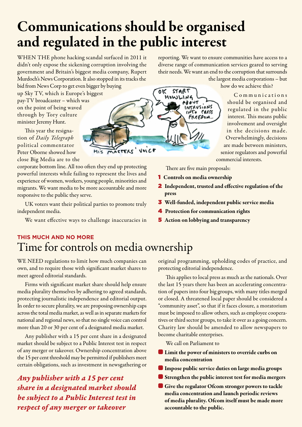## Communications should be organised and regulated in the public interest

**CTEAS' VOICE** 

oκ

**START** HOWLIN

WHEN THE phone hacking scandal surfaced in 2011 it didn't only expose the sickening corruption involving the government and Britain's biggest media company, Rupert Murdoch's News Corporation. It also stopped in its tracks the bid from News Corp to get even bigger by buying

up Sky TV, which is Europe's biggest pay-TV broadcaster – which was on the point of being waved through by Tory culture minister Jeremy Hunt.

This year the resignation of *Daily Telegraph* political commentator Peter Oborne showed how close Big Media are to the

corporate bottom line. All too often they end up protecting powerful interests while failing to represent the lives and experience of women, workers, young people, minorities and migrants. We want media to be more accountable and more responsive to the public they serve.

UK voters want their political parties to promote truly independent media.

We want effective ways to challenge inaccuracies in

#### reporting. We want to ensure communities have access to a diverse range of communication services geared to serving their needs. We want an end to the corruption that surrounds the largest media corporations – but

how do we achieve this?

C o m m u n i c a t i o n s should be organised and regulated in the public interest. This means public involvement and oversight in the decisions made. Overwhelmingly, decisions are made between ministers, senior regulators and powerful commercial interests.

There are five main proposals:

CRESS FREEDOM..

- 1 Controls on media ownership
- 2 Independent, trusted and effective regulation of the press
- 3 Well-funded, independent public service media
- **4** Protection for communication rights
- **5** Action on lobbying and transparency

#### **THIS MUCH AND NO MORE** Time for controls on media ownership

WE NEED regulations to limit how much companies can own, and to require those with significant market shares to meet agreed editorial standards.

Firms with significant market share should help ensure media plurality themselves by adhering to agreed standards, protecting journalistic independence and editorial output. In order to secure plurality, we are proposing ownership caps across the total media market, as well as in separate markets for national and regional news, so that no single voice can control more than 20 or 30 per cent of a designated media market.

Any publisher with a 15 per cent share in a designated market should be subject to a Public Interest test in respect of any merger or takeover. Ownership concentration above the 15 per cent threshold may be permitted if publishers meet certain obligations, such as investment in newsgathering or

*Any publisher with a 15 per cent share in a designated market should be subject to a Public Interest test in respect of any merger or takeover*

original programming, upholding codes of practice, and protecting editorial independence.

This applies to local press as much as the nationals. Over the last 15 years there has been an accelerating concentration of papers into four big groups, with many titles merged or closed. A threatened local paper should be considered a "community asset", so that if it faces closure, a moratorium must be imposed to allow others, such as employee cooperatives or third sector groups, to take it over as a going concern. Charity law should be amended to allow newspapers to become charitable enterprises.

We call on Parliament to

- **A** Limit the power of ministers to override curbs on media concentration
- **A** Impose public service duties on large media groups
- **A** Strengthen the public interest test for media mergers
- Give the regulator Ofcom stronger powers to tackle media concentration and launch periodic reviews of media plurality. Ofcom itself must be made more accountable to the public.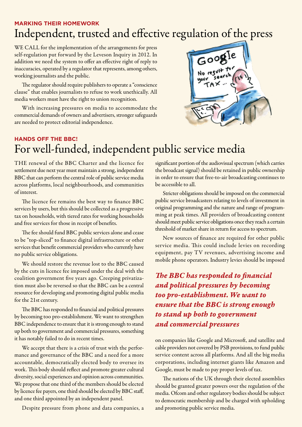#### **MARKING THEIR HOMEWORK** Independent, trusted and effective regulation of the press

WE CALL for the implementation of the arrangements for press self-regulation put forward by the Leveson Inquiry in 2012. In addition we need the system to offer an effective right of reply to inaccuracies, operated by a regulator that represents, among others, working journalists and the public.

The regulator should require publishers to operate a "conscience clause" that enables journalists to refuse to work unethically. All media workers must have the right to union recognition.

With increasing pressures on media to accommodate the commercial demands of owners and advertisers, stronger safeguards are needed to protect editorial independence.



### **HANDS OFF THE BBC!** For well-funded, independent public service media

THE renewal of the BBC Charter and the licence fee settlement due next year must maintain a strong, independent BBC that can perform the central role of public service media across platforms, local neighbourhoods, and communities of interest.

The licence fee remains the best way to finance BBC services by users, but this should be collected as a progressive tax on households, with tiered rates for working households and free services for those in receipt of benefits.

The fee should fund BBC public services alone and cease to be "top-sliced" to finance digital infrastructure or other services that benefit commercial providers who currently have no public service obligations.

We should restore the revenue lost to the BBC caused by the cuts in licence fee imposed under the deal with the coalition government five years ago. Creeping privatization must also be reversed so that the BBC can be a central resource for developing and promoting digital public media for the 21st century.

The BBC has responded to financial and political pressures by becoming too pro-establishment. We want to strengthen BBC independence to ensure that it is strong enough to stand up both to government and commercial pressures, something it has notably failed to do in recent times.

We accept that there is a crisis of trust with the performance and governance of the BBC and a need for a more accountable, democratically elected body to oversee its work. This body should reflect and promote greater cultural diversity, social experiences and opinion across communities. We propose that one third of the members should be elected by licence fee payers, one third should be elected by BBC staff, and one third appointed by an independent panel.

Despite pressure from phone and data companies, a

significant portion of the audiovisual spectrum (which carries the broadcast signal) should be retained in public ownership in order to ensure that free-to-air broadcasting continues to be accessible to all.

Stricter obligations should be imposed on the commercial public service broadcasters relating to levels of investment in original programming and the nature and range of programming at peak times. All providers of broadcasting content should meet public service obligations once they reach a certain threshold of market share in return for access to spectrum.

New sources of finance are required for other public service media. This could include levies on recording equipment, pay TV revenues, advertising income and mobile phone operators. Industry levies should be imposed

*The BBC has responded to financial and political pressures by becoming too pro-establishment. We want to ensure that the BBC is strong enough to stand up both to government and commercial pressures*

on companies like Google and Microsoft, and satellite and cable providers not covered by PSB provisions, to fund public service content across all platforms. And all the big media corporations, including internet giants like Amazon and Google, must be made to pay proper levels of tax.

The nations of the UK through their elected assemblies should be granted greater powers over the regulation of the media. Ofcom and other regulatory bodies should be subject to democratic membership and be charged with upholding and promoting public service media.